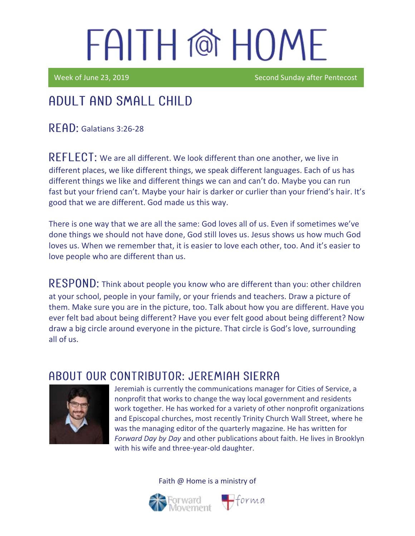Week of June 23, 2019 Second Sunday after Pentecost

## Adult and Small Child

 $R$  $F$  $AD:$  Galatians 3:26-28

REFLECT: We are all different. We look different than one another, we live in different places, we like different things, we speak different languages. Each of us has different things we like and different things we can and can't do. Maybe you can run fast but your friend can't. Maybe your hair is darker or curlier than your friend's hair. It's good that we are different. God made us this way.

There is one way that we are all the same: God loves all of us. Even if sometimes we've done things we should not have done, God still loves us. Jesus shows us how much God loves us. When we remember that, it is easier to love each other, too. And it's easier to love people who are different than us.

RESPOND: Think about people you know who are different than you: other children at your school, people in your family, or your friends and teachers. Draw a picture of them. Make sure you are in the picture, too. Talk about how you are different. Have you ever felt bad about being different? Have you ever felt good about being different? Now draw a big circle around everyone in the picture. That circle is God's love, surrounding all of us.

### ABOUT OUR CONTRIBUTOR: JEREMIAH SIERRA



Jeremiah is currently the communications manager for Cities of Service, a nonprofit that works to change the way local government and residents work together. He has worked for a variety of other nonprofit organizations and Episcopal churches, most recently Trinity Church Wall Street, where he was the managing editor of the quarterly magazine. He has written for *Forward Day by Day* and other publications about faith. He lives in Brooklyn with his wife and three-year-old daughter.



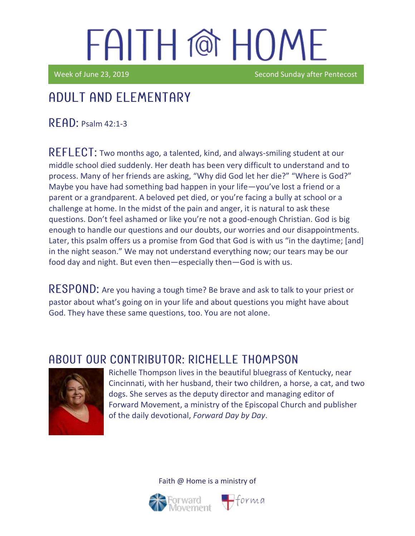Week of June 23, 2019 Second Sunday after Pentecost

### Adult and elementary

 $R$   $F$  $R$  $D$ : Psalm 42:1-3

REFLECT: Two months ago, a talented, kind, and always-smiling student at our middle school died suddenly. Her death has been very difficult to understand and to process. Many of her friends are asking, "Why did God let her die?" "Where is God?" Maybe you have had something bad happen in your life—you've lost a friend or a parent or a grandparent. A beloved pet died, or you're facing a bully at school or a challenge at home. In the midst of the pain and anger, it is natural to ask these questions. Don't feel ashamed or like you're not a good-enough Christian. God is big enough to handle our questions and our doubts, our worries and our disappointments. Later, this psalm offers us a promise from God that God is with us "in the daytime; [and] in the night season." We may not understand everything now; our tears may be our food day and night. But even then—especially then—God is with us.

RESPOND: Are you having a tough time? Be brave and ask to talk to your priest or pastor about what's going on in your life and about questions you might have about God. They have these same questions, too. You are not alone.

### ABOUT OUR CONTRIBUTOR: RICHELLE THOMPSON



Richelle Thompson lives in the beautiful bluegrass of Kentucky, near Cincinnati, with her husband, their two children, a horse, a cat, and two dogs. She serves as the deputy director and managing editor of Forward Movement, a ministry of the Episcopal Church and publisher of the daily devotional, *Forward Day by Day*.



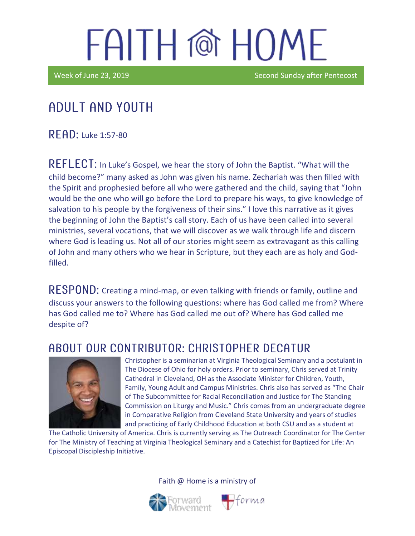Week of June 23, 2019 **Second Sunday after Pentecost** Second Sunday after Pentecost

## Adult and youth

 $R$  $F$  $A$  $D$ : Luke 1:57-80

REFLECT: In Luke's Gospel, we hear the story of John the Baptist. "What will the child become?" many asked as John was given his name. Zechariah was then filled with the Spirit and prophesied before all who were gathered and the child, saying that "John would be the one who will go before the Lord to prepare his ways, to give knowledge of salvation to his people by the forgiveness of their sins." I love this narrative as it gives the beginning of John the Baptist's call story. Each of us have been called into several ministries, several vocations, that we will discover as we walk through life and discern where God is leading us. Not all of our stories might seem as extravagant as this calling of John and many others who we hear in Scripture, but they each are as holy and Godfilled.

 **Creating a mind-map, or even talking with friends or family, outline and** discuss your answers to the following questions: where has God called me from? Where has God called me to? Where has God called me out of? Where has God called me despite of?

### ABOUT OUR CONTRIBUTOR: CHRISTOPHER DECATUR



Christopher is a seminarian at Virginia Theological Seminary and a postulant in The Diocese of Ohio for holy orders. Prior to seminary, Chris served at Trinity Cathedral in Cleveland, OH as the Associate Minister for Children, Youth, Family, Young Adult and Campus Ministries. Chris also has served as "The Chair of The Subcommittee for Racial Reconciliation and Justice for The Standing Commission on Liturgy and Music." Chris comes from an undergraduate degree in Comparative Religion from Cleveland State University and years of studies and practicing of Early Childhood Education at both CSU and as a student at

The Catholic University of America. Chris is currently serving as The Outreach Coordinator for The Center for The Ministry of Teaching at Virginia Theological Seminary and a Catechist for Baptized for Life: An Episcopal Discipleship Initiative.